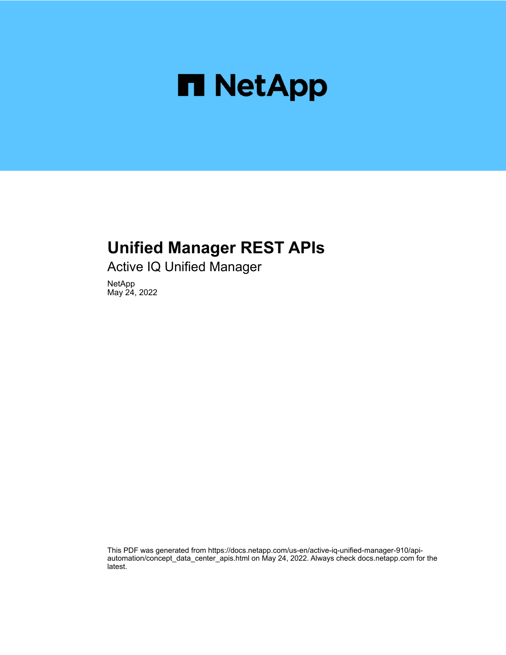

## **Unified Manager REST APIs**

Active IQ Unified Manager

NetApp May 24, 2022

This PDF was generated from https://docs.netapp.com/us-en/active-iq-unified-manager-910/apiautomation/concept\_data\_center\_apis.html on May 24, 2022. Always check docs.netapp.com for the latest.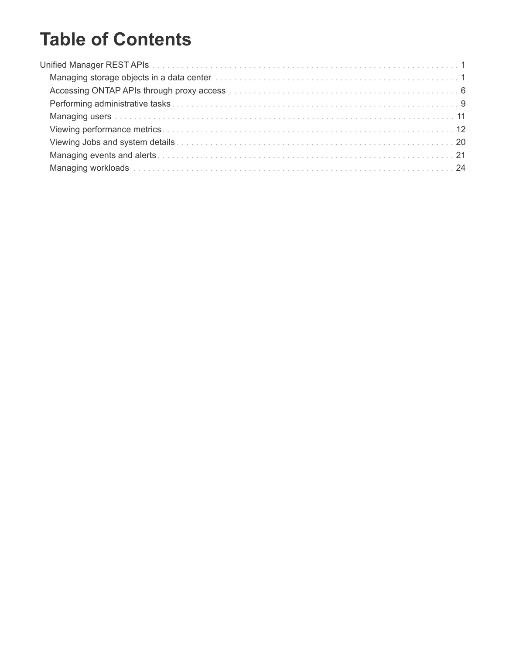# **Table of Contents**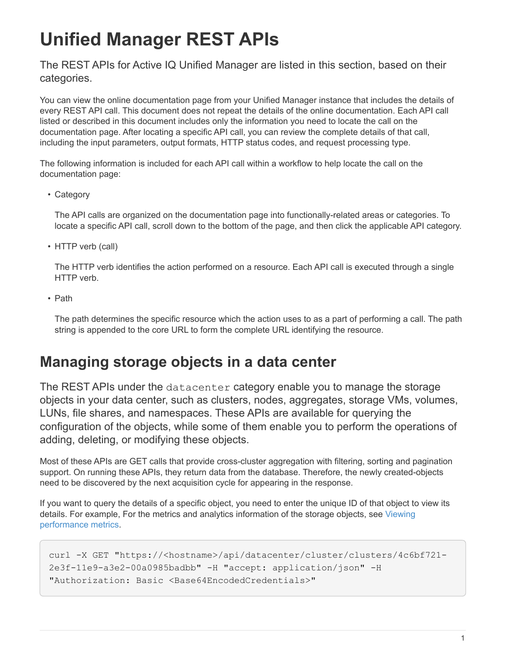# <span id="page-2-0"></span>**Unified Manager REST APIs**

The REST APIs for Active IQ Unified Manager are listed in this section, based on their categories.

You can view the online documentation page from your Unified Manager instance that includes the details of every REST API call. This document does not repeat the details of the online documentation. Each API call listed or described in this document includes only the information you need to locate the call on the documentation page. After locating a specific API call, you can review the complete details of that call, including the input parameters, output formats, HTTP status codes, and request processing type.

The following information is included for each API call within a workflow to help locate the call on the documentation page:

• Category

The API calls are organized on the documentation page into functionally-related areas or categories. To locate a specific API call, scroll down to the bottom of the page, and then click the applicable API category.

• HTTP verb (call)

The HTTP verb identifies the action performed on a resource. Each API call is executed through a single HTTP verb.

• Path

The path determines the specific resource which the action uses to as a part of performing a call. The path string is appended to the core URL to form the complete URL identifying the resource.

## <span id="page-2-1"></span>**Managing storage objects in a data center**

The REST APIs under the datacenter category enable you to manage the storage objects in your data center, such as clusters, nodes, aggregates, storage VMs, volumes, LUNs, file shares, and namespaces. These APIs are available for querying the configuration of the objects, while some of them enable you to perform the operations of adding, deleting, or modifying these objects.

Most of these APIs are GET calls that provide cross-cluster aggregation with filtering, sorting and pagination support. On running these APIs, they return data from the database. Therefore, the newly created-objects need to be discovered by the next acquisition cycle for appearing in the response.

If you want to query the details of a specific object, you need to enter the unique ID of that object to view its details. For example, For the metrics and analytics information of the storage objects, see [Viewing](#page-13-0) [performance metrics.](#page-13-0)

```
curl -X GET "https://<hostname>/api/datacenter/cluster/clusters/4c6bf721-
2e3f-11e9-a3e2-00a0985badbb" -H "accept: application/json" -H
"Authorization: Basic <Base64EncodedCredentials>"
```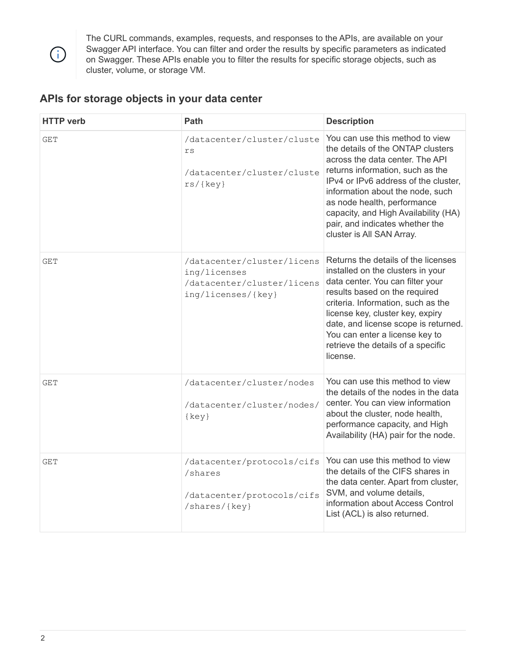

The CURL commands, examples, requests, and responses to the APIs, are available on your Swagger API interface. You can filter and order the results by specific parameters as indicated on Swagger. These APIs enable you to filter the results for specific storage objects, such as cluster, volume, or storage VM.

## **APIs for storage objects in your data center**

| <b>HTTP</b> verb | Path                                                                                           | <b>Description</b>                                                                                                                                                                                                                                                                                                                                             |
|------------------|------------------------------------------------------------------------------------------------|----------------------------------------------------------------------------------------------------------------------------------------------------------------------------------------------------------------------------------------------------------------------------------------------------------------------------------------------------------------|
| <b>GET</b>       | /datacenter/cluster/cluste<br>$\mathtt{rs}$<br>/datacenter/cluster/cluste<br>rs/(key)          | You can use this method to view<br>the details of the ONTAP clusters<br>across the data center. The API<br>returns information, such as the<br>IPv4 or IPv6 address of the cluster,<br>information about the node, such<br>as node health, performance<br>capacity, and High Availability (HA)<br>pair, and indicates whether the<br>cluster is All SAN Array. |
| <b>GET</b>       | /datacenter/cluster/licens<br>ing/licenses<br>/datacenter/cluster/licens<br>ing/licenses/{key} | Returns the details of the licenses<br>installed on the clusters in your<br>data center. You can filter your<br>results based on the required<br>criteria. Information, such as the<br>license key, cluster key, expiry<br>date, and license scope is returned.<br>You can enter a license key to<br>retrieve the details of a specific<br>license.            |
| <b>GET</b>       | /datacenter/cluster/nodes<br>/datacenter/cluster/nodes/<br>$\{key\}$                           | You can use this method to view<br>the details of the nodes in the data<br>center. You can view information<br>about the cluster, node health,<br>performance capacity, and High<br>Availability (HA) pair for the node.                                                                                                                                       |
| <b>GET</b>       | /datacenter/protocols/cifs<br>/shares<br>/datacenter/protocols/cifs<br>/shares/{key}           | You can use this method to view<br>the details of the CIFS shares in<br>the data center. Apart from cluster,<br>SVM, and volume details,<br>information about Access Control<br>List (ACL) is also returned.                                                                                                                                                   |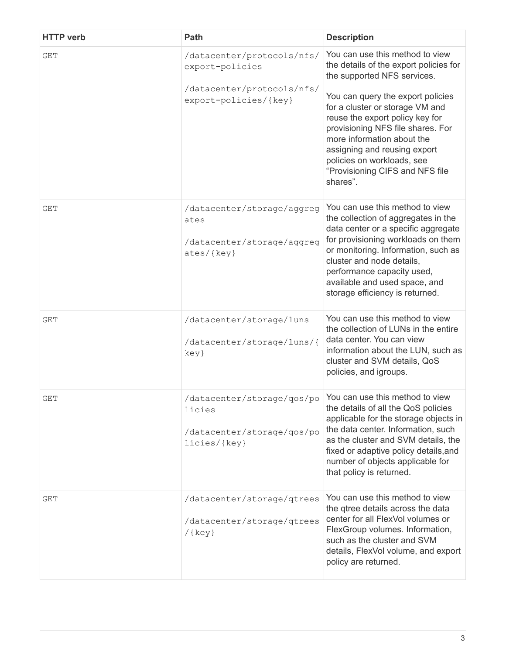| <b>HTTP</b> verb | Path                                                                                                                                                                   | <b>Description</b>                                                                                                                                                                                                                                                                                                                                                                                  |
|------------------|------------------------------------------------------------------------------------------------------------------------------------------------------------------------|-----------------------------------------------------------------------------------------------------------------------------------------------------------------------------------------------------------------------------------------------------------------------------------------------------------------------------------------------------------------------------------------------------|
| GET              | /datacenter/protocols/nfs/<br>export-policies<br>/datacenter/protocols/nfs/<br>export-policies/{key}                                                                   | You can use this method to view<br>the details of the export policies for<br>the supported NFS services.<br>You can query the export policies<br>for a cluster or storage VM and<br>reuse the export policy key for<br>provisioning NFS file shares. For<br>more information about the<br>assigning and reusing export<br>policies on workloads, see<br>"Provisioning CIFS and NFS file<br>shares". |
| <b>GET</b>       | /datacenter/storage/aggreg<br>ates<br>/datacenter/storage/aggreg<br>ates/{key}                                                                                         | You can use this method to view<br>the collection of aggregates in the<br>data center or a specific aggregate<br>for provisioning workloads on them<br>or monitoring. Information, such as<br>cluster and node details,<br>performance capacity used,<br>available and used space, and<br>storage efficiency is returned.                                                                           |
| <b>GET</b>       | /datacenter/storage/luns<br>/datacenter/storage/luns/{<br>key}                                                                                                         | You can use this method to view<br>the collection of LUNs in the entire<br>data center. You can view<br>information about the LUN, such as<br>cluster and SVM details, QoS<br>policies, and igroups.                                                                                                                                                                                                |
| <b>GET</b>       | $\sqrt{\text{datacenter}}/\text{storage}/\text{gos}/\text{po}$ $\sqrt{\text{You}}$ can use this method to view<br>licies<br>/datacenter/storage/qos/po<br>licies/{key} | the details of all the QoS policies<br>applicable for the storage objects in<br>the data center. Information, such<br>as the cluster and SVM details, the<br>fixed or adaptive policy details, and<br>number of objects applicable for<br>that policy is returned.                                                                                                                                  |
| <b>GET</b>       | /datacenter/storage/qtrees<br>/datacenter/storage/qtrees<br>$(\text{key})$                                                                                             | You can use this method to view<br>the qtree details across the data<br>center for all FlexVol volumes or<br>FlexGroup volumes. Information,<br>such as the cluster and SVM<br>details, FlexVol volume, and export<br>policy are returned.                                                                                                                                                          |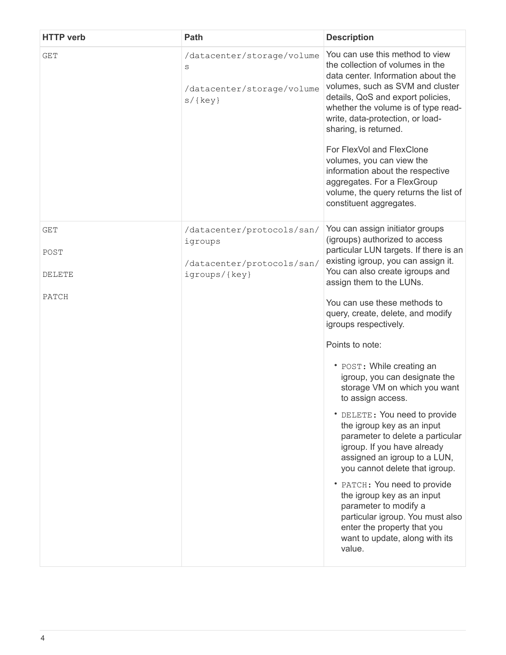| <b>HTTP</b> verb                      | <b>Path</b>                                                                          | <b>Description</b>                                                                                                                                                                                                                                                                                                                                                                                                                                                                                                                                                                                                                                                                                                                                                                                                                                              |
|---------------------------------------|--------------------------------------------------------------------------------------|-----------------------------------------------------------------------------------------------------------------------------------------------------------------------------------------------------------------------------------------------------------------------------------------------------------------------------------------------------------------------------------------------------------------------------------------------------------------------------------------------------------------------------------------------------------------------------------------------------------------------------------------------------------------------------------------------------------------------------------------------------------------------------------------------------------------------------------------------------------------|
| <b>GET</b>                            | /datacenter/storage/volume<br>S<br>/datacenter/storage/volume<br>$s$ /{key}          | You can use this method to view<br>the collection of volumes in the<br>data center. Information about the<br>volumes, such as SVM and cluster<br>details, QoS and export policies,<br>whether the volume is of type read-<br>write, data-protection, or load-<br>sharing, is returned.<br>For FlexVol and FlexClone<br>volumes, you can view the<br>information about the respective<br>aggregates. For a FlexGroup<br>volume, the query returns the list of<br>constituent aggregates.                                                                                                                                                                                                                                                                                                                                                                         |
| <b>GET</b><br>POST<br>DELETE<br>PATCH | /datacenter/protocols/san/<br>igroups<br>/datacenter/protocols/san/<br>igroups/{key} | You can assign initiator groups<br>(igroups) authorized to access<br>particular LUN targets. If there is an<br>existing igroup, you can assign it.<br>You can also create igroups and<br>assign them to the LUNs.<br>You can use these methods to<br>query, create, delete, and modify<br>igroups respectively.<br>Points to note:<br>• POST: While creating an<br>igroup, you can designate the<br>storage VM on which you want<br>to assign access.<br>• DELETE: You need to provide<br>the igroup key as an input<br>parameter to delete a particular<br>igroup. If you have already<br>assigned an igroup to a LUN,<br>you cannot delete that igroup.<br>• PATCH: You need to provide<br>the igroup key as an input<br>parameter to modify a<br>particular igroup. You must also<br>enter the property that you<br>want to update, along with its<br>value. |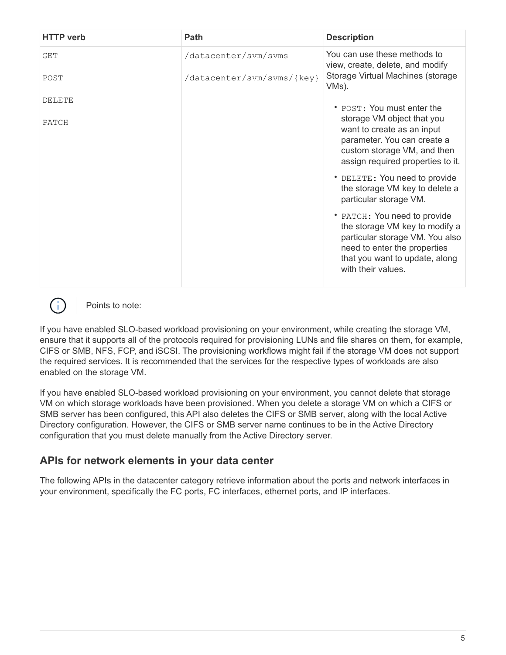| <b>HTTP</b> verb | Path                       | <b>Description</b>                                                                                                                                                                        |
|------------------|----------------------------|-------------------------------------------------------------------------------------------------------------------------------------------------------------------------------------------|
| GET              | /datacenter/svm/svms       | You can use these methods to<br>view, create, delete, and modify                                                                                                                          |
| POST             | /datacenter/svm/svms/{key} | Storage Virtual Machines (storage<br>VMs).                                                                                                                                                |
| <b>DELETE</b>    |                            | • POST: You must enter the                                                                                                                                                                |
| PATCH            |                            | storage VM object that you<br>want to create as an input<br>parameter. You can create a<br>custom storage VM, and then<br>assign required properties to it.                               |
|                  |                            | • DELETE: You need to provide<br>the storage VM key to delete a<br>particular storage VM.                                                                                                 |
|                  |                            | • PATCH: You need to provide<br>the storage VM key to modify a<br>particular storage VM. You also<br>need to enter the properties<br>that you want to update, along<br>with their values. |



Points to note:

If you have enabled SLO-based workload provisioning on your environment, while creating the storage VM, ensure that it supports all of the protocols required for provisioning LUNs and file shares on them, for example, CIFS or SMB, NFS, FCP, and iSCSI. The provisioning workflows might fail if the storage VM does not support the required services. It is recommended that the services for the respective types of workloads are also enabled on the storage VM.

If you have enabled SLO-based workload provisioning on your environment, you cannot delete that storage VM on which storage workloads have been provisioned. When you delete a storage VM on which a CIFS or SMB server has been configured, this API also deletes the CIFS or SMB server, along with the local Active Directory configuration. However, the CIFS or SMB server name continues to be in the Active Directory configuration that you must delete manually from the Active Directory server.

## **APIs for network elements in your data center**

The following APIs in the datacenter category retrieve information about the ports and network interfaces in your environment, specifically the FC ports, FC interfaces, ethernet ports, and IP interfaces.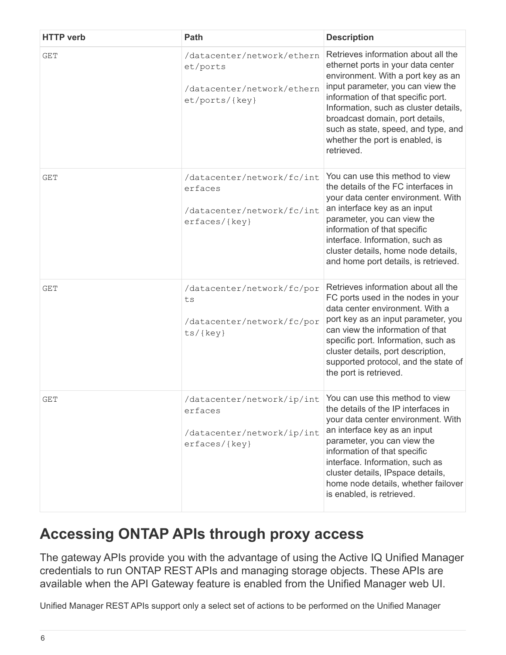| <b>HTTP</b> verb | Path                                                                                                                 | <b>Description</b>                                                                                                                                                                                                                                                                                                                                             |
|------------------|----------------------------------------------------------------------------------------------------------------------|----------------------------------------------------------------------------------------------------------------------------------------------------------------------------------------------------------------------------------------------------------------------------------------------------------------------------------------------------------------|
| GET              | /datacenter/network/ethern<br>et/ports<br>/datacenter/network/ethern<br>et/ports/{key}                               | Retrieves information about all the<br>ethernet ports in your data center<br>environment. With a port key as an<br>input parameter, you can view the<br>information of that specific port.<br>Information, such as cluster details,<br>broadcast domain, port details,<br>such as state, speed, and type, and<br>whether the port is enabled, is<br>retrieved. |
| GET              | /datacenter/network/fc/int<br>erfaces<br>/datacenter/network/fc/int<br>erfaces/{key}                                 | You can use this method to view<br>the details of the FC interfaces in<br>your data center environment. With<br>an interface key as an input<br>parameter, you can view the<br>information of that specific<br>interface. Information, such as<br>cluster details, home node details,<br>and home port details, is retrieved.                                  |
| GET              | /datacenter/network/fc/por<br>ts<br>/datacenter/network/fc/por<br>$ts/{key}$                                         | Retrieves information about all the<br>FC ports used in the nodes in your<br>data center environment. With a<br>port key as an input parameter, you<br>can view the information of that<br>specific port. Information, such as<br>cluster details, port description,<br>supported protocol, and the state of<br>the port is retrieved.                         |
| GET              | /datacenter/network/ip/int You can use this method to view<br>erfaces<br>/datacenter/network/ip/int<br>erfaces/{key} | the details of the IP interfaces in<br>your data center environment. With<br>an interface key as an input<br>parameter, you can view the<br>information of that specific<br>interface. Information, such as<br>cluster details, IPspace details,<br>home node details, whether failover<br>is enabled, is retrieved.                                           |

## <span id="page-7-0"></span>**Accessing ONTAP APIs through proxy access**

The gateway APIs provide you with the advantage of using the Active IQ Unified Manager credentials to run ONTAP REST APIs and managing storage objects. These APIs are available when the API Gateway feature is enabled from the Unified Manager web UI.

Unified Manager REST APIs support only a select set of actions to be performed on the Unified Manager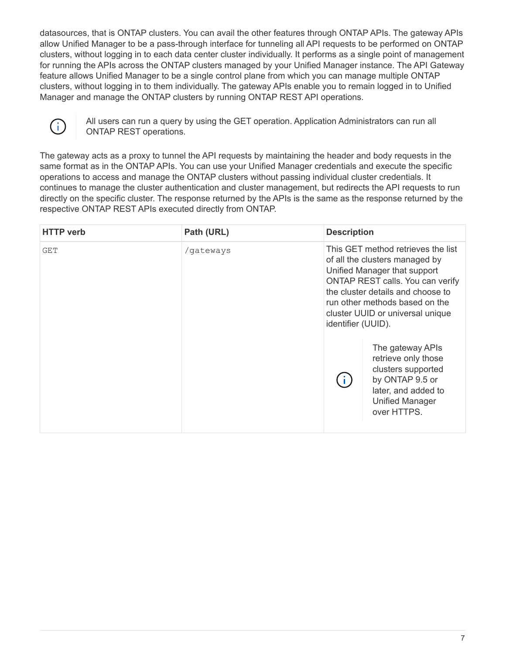datasources, that is ONTAP clusters. You can avail the other features through ONTAP APIs. The gateway APIs allow Unified Manager to be a pass-through interface for tunneling all API requests to be performed on ONTAP clusters, without logging in to each data center cluster individually. It performs as a single point of management for running the APIs across the ONTAP clusters managed by your Unified Manager instance. The API Gateway feature allows Unified Manager to be a single control plane from which you can manage multiple ONTAP clusters, without logging in to them individually. The gateway APIs enable you to remain logged in to Unified Manager and manage the ONTAP clusters by running ONTAP REST API operations.



All users can run a query by using the GET operation. Application Administrators can run all ONTAP REST operations.

The gateway acts as a proxy to tunnel the API requests by maintaining the header and body requests in the same format as in the ONTAP APIs. You can use your Unified Manager credentials and execute the specific operations to access and manage the ONTAP clusters without passing individual cluster credentials. It continues to manage the cluster authentication and cluster management, but redirects the API requests to run directly on the specific cluster. The response returned by the APIs is the same as the response returned by the respective ONTAP REST APIs executed directly from ONTAP.

| <b>HTTP</b> verb | Path (URL) | <b>Description</b> |                                                                                                                                                                                                                                                     |
|------------------|------------|--------------------|-----------------------------------------------------------------------------------------------------------------------------------------------------------------------------------------------------------------------------------------------------|
| GET              | /gateways  | identifier (UUID). | This GET method retrieves the list<br>of all the clusters managed by<br>Unified Manager that support<br>ONTAP REST calls. You can verify<br>the cluster details and choose to<br>run other methods based on the<br>cluster UUID or universal unique |
|                  |            |                    | The gateway APIs<br>retrieve only those<br>clusters supported<br>by ONTAP 9.5 or<br>later, and added to<br><b>Unified Manager</b><br>over HTTPS.                                                                                                    |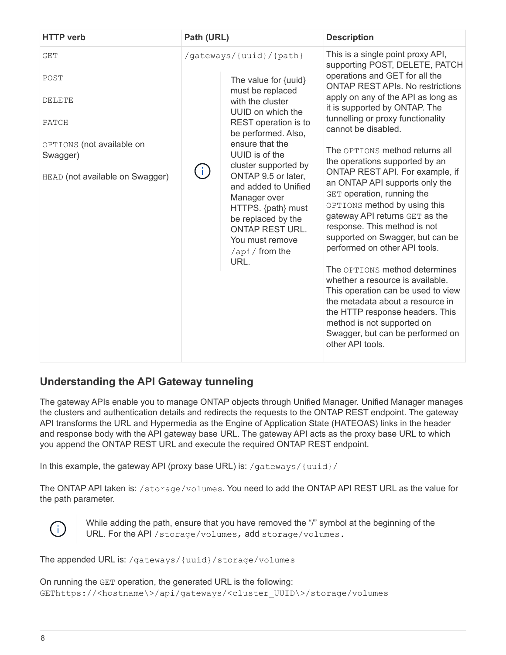| <b>HTTP verb</b>                                                                                                         | Path (URL) |                                                                                                                                                                                                                                                                                                                                                                                                           | <b>Description</b>                                                                                                                                                                                                                                                                                                                                                                                                                                                                                                                                                                                                                                                                                                                                                                                                                                                                                        |
|--------------------------------------------------------------------------------------------------------------------------|------------|-----------------------------------------------------------------------------------------------------------------------------------------------------------------------------------------------------------------------------------------------------------------------------------------------------------------------------------------------------------------------------------------------------------|-----------------------------------------------------------------------------------------------------------------------------------------------------------------------------------------------------------------------------------------------------------------------------------------------------------------------------------------------------------------------------------------------------------------------------------------------------------------------------------------------------------------------------------------------------------------------------------------------------------------------------------------------------------------------------------------------------------------------------------------------------------------------------------------------------------------------------------------------------------------------------------------------------------|
| <b>GET</b><br>POST<br><b>DELETE</b><br>PATCH<br>OPTIONS (not available on<br>Swagger)<br>HEAD (not available on Swagger) |            | /gateways/{uuid}/{path}<br>The value for {uuid}<br>must be replaced<br>with the cluster<br>UUID on which the<br>REST operation is to<br>be performed. Also,<br>ensure that the<br>UUID is of the<br>cluster supported by<br>ONTAP 9.5 or later,<br>and added to Unified<br>Manager over<br>HTTPS. {path} must<br>be replaced by the<br><b>ONTAP REST URL.</b><br>You must remove<br>/api/from the<br>URL. | This is a single point proxy API,<br>supporting POST, DELETE, PATCH<br>operations and GET for all the<br><b>ONTAP REST APIS. No restrictions</b><br>apply on any of the API as long as<br>it is supported by ONTAP. The<br>tunnelling or proxy functionality<br>cannot be disabled.<br>The OPTIONS method returns all<br>the operations supported by an<br>ONTAP REST API. For example, if<br>an ONTAP API supports only the<br>GET operation, running the<br>OPTIONS method by using this<br>gateway API returns GET as the<br>response. This method is not<br>supported on Swagger, but can be<br>performed on other API tools.<br>The OPTIONS method determines<br>whether a resource is available.<br>This operation can be used to view<br>the metadata about a resource in<br>the HTTP response headers. This<br>method is not supported on<br>Swagger, but can be performed on<br>other API tools. |
|                                                                                                                          |            |                                                                                                                                                                                                                                                                                                                                                                                                           |                                                                                                                                                                                                                                                                                                                                                                                                                                                                                                                                                                                                                                                                                                                                                                                                                                                                                                           |

## **Understanding the API Gateway tunneling**

The gateway APIs enable you to manage ONTAP objects through Unified Manager. Unified Manager manages the clusters and authentication details and redirects the requests to the ONTAP REST endpoint. The gateway API transforms the URL and Hypermedia as the Engine of Application State (HATEOAS) links in the header and response body with the API gateway base URL. The gateway API acts as the proxy base URL to which you append the ONTAP REST URL and execute the required ONTAP REST endpoint.

In this example, the gateway API (proxy base URL) is: /gateways/{uuid}/

The ONTAP API taken is: /storage/volumes. You need to add the ONTAP API REST URL as the value for the path parameter.



While adding the path, ensure that you have removed the "/" symbol at the beginning of the URL. For the API /storage/volumes, add storage/volumes.

The appended URL is: /gateways/{uuid}/storage/volumes

On running the GET operation, the generated URL is the following: GEThttps://<hostname\>/api/gateways/<cluster\_UUID\>/storage/volumes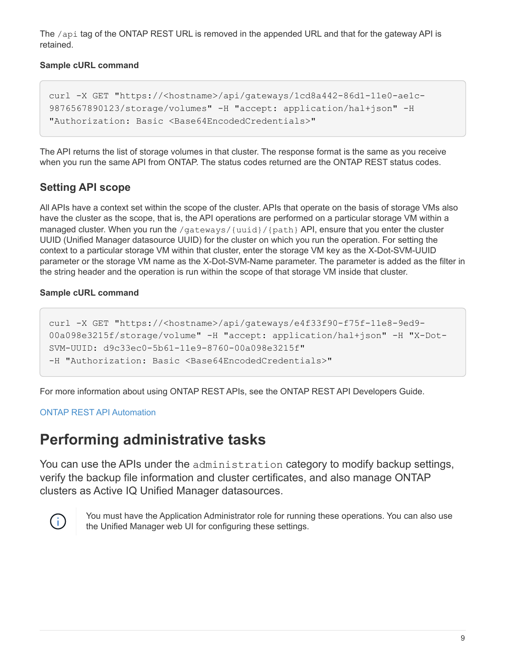The /api tag of the ONTAP REST URL is removed in the appended URL and that for the gateway API is retained.

#### **Sample cURL command**

```
curl -X GET "https://<hostname>/api/gateways/1cd8a442-86d1-11e0-ae1c-
9876567890123/storage/volumes" -H "accept: application/hal+json" -H
"Authorization: Basic <Base64EncodedCredentials>"
```
The API returns the list of storage volumes in that cluster. The response format is the same as you receive when you run the same API from ONTAP. The status codes returned are the ONTAP REST status codes.

## **Setting API scope**

All APIs have a context set within the scope of the cluster. APIs that operate on the basis of storage VMs also have the cluster as the scope, that is, the API operations are performed on a particular storage VM within a managed cluster. When you run the /qateways/ $\{uuid\}/\{path\}$  API, ensure that you enter the cluster UUID (Unified Manager datasource UUID) for the cluster on which you run the operation. For setting the context to a particular storage VM within that cluster, enter the storage VM key as the X-Dot-SVM-UUID parameter or the storage VM name as the X-Dot-SVM-Name parameter. The parameter is added as the filter in the string header and the operation is run within the scope of that storage VM inside that cluster.

### **Sample cURL command**

```
curl -X GET "https://<hostname>/api/gateways/e4f33f90-f75f-11e8-9ed9-
00a098e3215f/storage/volume" -H "accept: application/hal+json" -H "X-Dot-
SVM-UUID: d9c33ec0-5b61-11e9-8760-00a098e3215f"
-H "Authorization: Basic <Base64EncodedCredentials>"
```
For more information about using ONTAP REST APIs, see the ONTAP REST API Developers Guide.

[ONTAP REST API Automation](https://docs.netapp.com/us-en/ontap-automation/index.html)

## <span id="page-10-0"></span>**Performing administrative tasks**

You can use the APIs under the administration category to modify backup settings, verify the backup file information and cluster certificates, and also manage ONTAP clusters as Active IQ Unified Manager datasources.



You must have the Application Administrator role for running these operations. You can also use the Unified Manager web UI for configuring these settings.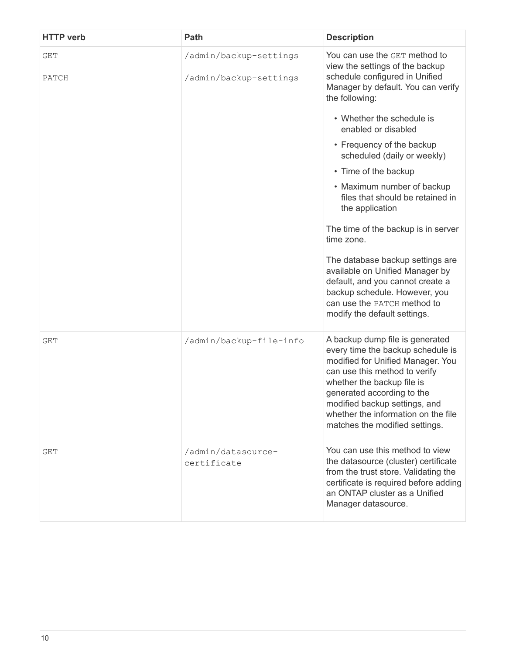| <b>HTTP</b> verb    | Path                                             | <b>Description</b>                                                                                                                                                                                                                                                                                               |
|---------------------|--------------------------------------------------|------------------------------------------------------------------------------------------------------------------------------------------------------------------------------------------------------------------------------------------------------------------------------------------------------------------|
| <b>GET</b><br>PATCH | /admin/backup-settings<br>/admin/backup-settings | You can use the GET method to<br>view the settings of the backup<br>schedule configured in Unified<br>Manager by default. You can verify                                                                                                                                                                         |
|                     |                                                  | the following:                                                                                                                                                                                                                                                                                                   |
|                     |                                                  | • Whether the schedule is<br>enabled or disabled                                                                                                                                                                                                                                                                 |
|                     |                                                  | • Frequency of the backup<br>scheduled (daily or weekly)                                                                                                                                                                                                                                                         |
|                     |                                                  | • Time of the backup                                                                                                                                                                                                                                                                                             |
|                     |                                                  | • Maximum number of backup<br>files that should be retained in<br>the application                                                                                                                                                                                                                                |
|                     |                                                  | The time of the backup is in server<br>time zone.                                                                                                                                                                                                                                                                |
|                     |                                                  | The database backup settings are<br>available on Unified Manager by<br>default, and you cannot create a<br>backup schedule. However, you<br>can use the PATCH method to<br>modify the default settings.                                                                                                          |
| GET                 | /admin/backup-file-info                          | A backup dump file is generated<br>every time the backup schedule is<br>modified for Unified Manager. You<br>can use this method to verify<br>whether the backup file is<br>generated according to the<br>modified backup settings, and<br>whether the information on the file<br>matches the modified settings. |
| GET                 | /admin/datasource-<br>certificate                | You can use this method to view<br>the datasource (cluster) certificate<br>from the trust store. Validating the<br>certificate is required before adding<br>an ONTAP cluster as a Unified<br>Manager datasource.                                                                                                 |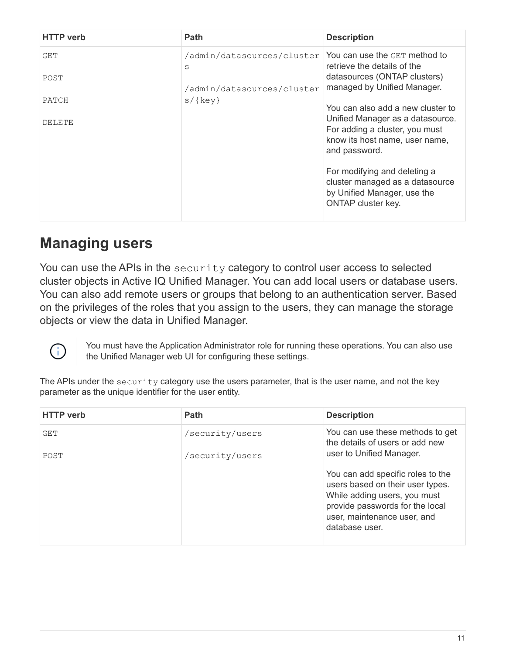| <b>HTTP</b> verb | <b>Path</b>                     | <b>Description</b>                                                                                                          |
|------------------|---------------------------------|-----------------------------------------------------------------------------------------------------------------------------|
| GET              | /admin/datasources/cluster<br>S | You can use the GET method to<br>retrieve the details of the                                                                |
| POST             | /admin/datasources/cluster      | datasources (ONTAP clusters)<br>managed by Unified Manager.                                                                 |
| PATCH            | $s$ /{key}                      | You can also add a new cluster to                                                                                           |
| DELETE           |                                 | Unified Manager as a datasource.<br>For adding a cluster, you must<br>know its host name, user name,<br>and password.       |
|                  |                                 | For modifying and deleting a<br>cluster managed as a datasource<br>by Unified Manager, use the<br><b>ONTAP cluster key.</b> |

## <span id="page-12-0"></span>**Managing users**

You can use the APIs in the security category to control user access to selected cluster objects in Active IQ Unified Manager. You can add local users or database users. You can also add remote users or groups that belong to an authentication server. Based on the privileges of the roles that you assign to the users, they can manage the storage objects or view the data in Unified Manager.



You must have the Application Administrator role for running these operations. You can also use the Unified Manager web UI for configuring these settings.

The APIs under the security category use the users parameter, that is the user name, and not the key parameter as the unique identifier for the user entity.

| <b>HTTP</b> verb | Path            | <b>Description</b>                                                                                                                                                                        |  |
|------------------|-----------------|-------------------------------------------------------------------------------------------------------------------------------------------------------------------------------------------|--|
| GET              | /security/users | You can use these methods to get<br>the details of users or add new                                                                                                                       |  |
| POST             | /security/users | user to Unified Manager.                                                                                                                                                                  |  |
|                  |                 | You can add specific roles to the<br>users based on their user types.<br>While adding users, you must<br>provide passwords for the local<br>user, maintenance user, and<br>database user. |  |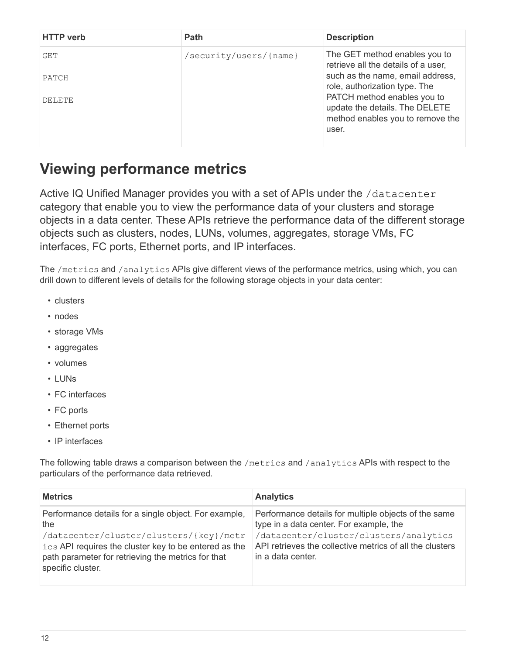| <b>HTTP</b> verb | <b>Path</b>            | <b>Description</b>                                                                                         |
|------------------|------------------------|------------------------------------------------------------------------------------------------------------|
| GET              | /security/users/{name} | The GET method enables you to<br>retrieve all the details of a user,                                       |
| PATCH            |                        | such as the name, email address,<br>role, authorization type. The                                          |
| DELETE.          |                        | PATCH method enables you to<br>update the details. The DELETE<br>method enables you to remove the<br>user. |
|                  |                        |                                                                                                            |

## <span id="page-13-0"></span>**Viewing performance metrics**

Active IQ Unified Manager provides you with a set of APIs under the /datacenter category that enable you to view the performance data of your clusters and storage objects in a data center. These APIs retrieve the performance data of the different storage objects such as clusters, nodes, LUNs, volumes, aggregates, storage VMs, FC interfaces, FC ports, Ethernet ports, and IP interfaces.

The /metrics and /analytics APIs give different views of the performance metrics, using which, you can drill down to different levels of details for the following storage objects in your data center:

- clusters
- nodes
- storage VMs
- aggregates
- volumes
- LUNs
- FC interfaces
- FC ports
- Ethernet ports
- IP interfaces

The following table draws a comparison between the /metrics and /analytics APIs with respect to the particulars of the performance data retrieved.

| <b>Metrics</b>                                                                                                                                                                                                                              | <b>Analytics</b>                                                                                                                                                                                                          |
|---------------------------------------------------------------------------------------------------------------------------------------------------------------------------------------------------------------------------------------------|---------------------------------------------------------------------------------------------------------------------------------------------------------------------------------------------------------------------------|
| Performance details for a single object. For example,<br>the<br>/datacenter/cluster/clusters/{key}/metr<br>ics API requires the cluster key to be entered as the<br>path parameter for retrieving the metrics for that<br>specific cluster. | Performance details for multiple objects of the same<br>type in a data center. For example, the<br>datacenter/cluster/clusters/analytics<br>API retrieves the collective metrics of all the clusters<br>in a data center. |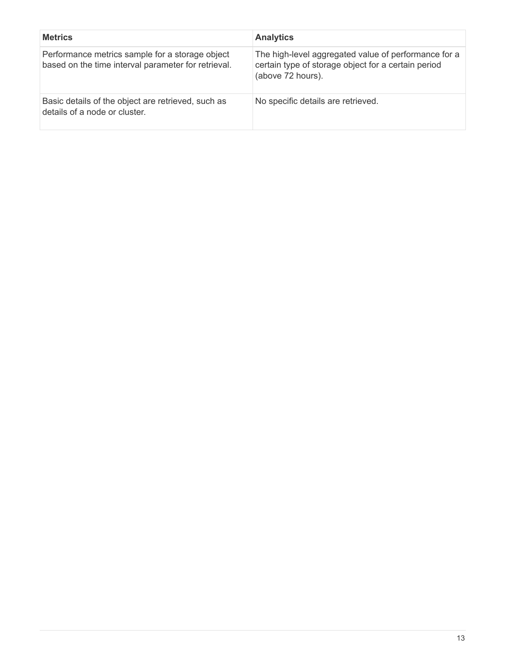| <b>Metrics</b>                                                                                         | <b>Analytics</b>                                                                                                                 |
|--------------------------------------------------------------------------------------------------------|----------------------------------------------------------------------------------------------------------------------------------|
| Performance metrics sample for a storage object<br>based on the time interval parameter for retrieval. | The high-level aggregated value of performance for a<br>certain type of storage object for a certain period<br>(above 72 hours). |
| Basic details of the object are retrieved, such as<br>details of a node or cluster.                    | No specific details are retrieved.                                                                                               |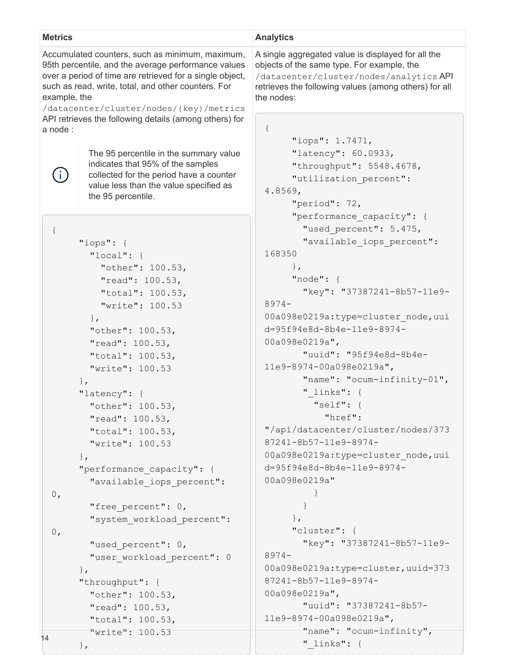| <b>Metrics</b>                                                                                                                                                                                                                                                                       |                                                                                                                                                                                                                                                                                                                                                                                                                                                                                                                                                                 | <b>Analytics</b>                                                                                                                                                                                                                                                                                                                                                                                                                                                                                                                                                                                                                                                                                |  |
|--------------------------------------------------------------------------------------------------------------------------------------------------------------------------------------------------------------------------------------------------------------------------------------|-----------------------------------------------------------------------------------------------------------------------------------------------------------------------------------------------------------------------------------------------------------------------------------------------------------------------------------------------------------------------------------------------------------------------------------------------------------------------------------------------------------------------------------------------------------------|-------------------------------------------------------------------------------------------------------------------------------------------------------------------------------------------------------------------------------------------------------------------------------------------------------------------------------------------------------------------------------------------------------------------------------------------------------------------------------------------------------------------------------------------------------------------------------------------------------------------------------------------------------------------------------------------------|--|
| Accumulated counters, such as minimum, maximum,<br>95th percentile, and the average performance values<br>over a period of time are retrieved for a single object,<br>such as read, write, total, and other counters. For<br>example, the<br>/datacenter/cluster/nodes/{key}/metrics |                                                                                                                                                                                                                                                                                                                                                                                                                                                                                                                                                                 | A single aggregated value is displayed for all the<br>objects of the same type. For example, the<br>/datacenter/cluster/nodes/analytics API<br>retrieves the following values (among others) for all<br>the nodes:                                                                                                                                                                                                                                                                                                                                                                                                                                                                              |  |
| a node:                                                                                                                                                                                                                                                                              | API retrieves the following details (among others) for                                                                                                                                                                                                                                                                                                                                                                                                                                                                                                          | $\{$<br>"iops": 1.7471,                                                                                                                                                                                                                                                                                                                                                                                                                                                                                                                                                                                                                                                                         |  |
|                                                                                                                                                                                                                                                                                      | The 95 percentile in the summary value<br>indicates that 95% of the samples<br>collected for the period have a counter<br>value less than the value specified as<br>the 95 percentile.                                                                                                                                                                                                                                                                                                                                                                          | "latency": 60.0933,<br>"throughput": 5548.4678,<br>"utilization percent":<br>4.8569,<br>"period": $72,$<br>"performance capacity": {                                                                                                                                                                                                                                                                                                                                                                                                                                                                                                                                                            |  |
| $\{$<br>0,<br>0,                                                                                                                                                                                                                                                                     | " $i$ ops": {<br>"local": $\{$<br>"other": 100.53,<br>"read": 100.53,<br>"total": 100.53,<br>"write": 100.53<br>$\}$ ,<br>"other": 100.53,<br>"read": 100.53,<br>"total": 100.53,<br>"write": 100.53<br>$\}$ ,<br>"latency": {<br>"other": 100.53,<br>"read": 100.53,<br>"total": 100.53,<br>"write": 100.53<br>$\}$ ,<br>"performance capacity": {<br>"available iops percent":<br>"free percent": 0,<br>"system workload percent":<br>"used percent": 0,<br>"user workload percent": 0<br>$\}$ ,<br>"throughput": {<br>"other": 100.53,<br>"read": $100.53$ , | "used percent": 5.475,<br>"available iops percent":<br>168350<br>$\}$ ,<br>"node": $\{$<br>"key": "37387241-8b57-11e9-<br>$8974 -$<br>00a098e0219a:type=cluster node, uui<br>d=95f94e8d-8b4e-11e9-8974-<br>00a098e0219a",<br>"uuid": "95f94e8d-8b4e-<br>11e9-8974-00a098e0219a",<br>"name": "ocum-infinity-01",<br>" links": $\{$<br>"self": {<br>"href":<br>"/api/datacenter/cluster/nodes/373<br>87241-8b57-11e9-8974-<br>00a098e0219a:type=cluster node, uui<br>d=95f94e8d-8b4e-11e9-8974-<br>00a098e0219a"<br>$\}$ ,<br>"cluster": {<br>"key": "37387241-8b57-11e9-<br>$8974 -$<br>00a098e0219a:type=cluster,uuid=373<br>87241-8b57-11e9-8974-<br>00a098e0219a",<br>"uuid": "37387241-8b57- |  |
| 14                                                                                                                                                                                                                                                                                   | "total": 100.53,<br>"write": 100.53<br>$\}$ ,                                                                                                                                                                                                                                                                                                                                                                                                                                                                                                                   | 11e9-8974-00a098e0219a",<br>" $name$ ": " $ocum-infinity$ ",<br>" links": {                                                                                                                                                                                                                                                                                                                                                                                                                                                                                                                                                                                                                     |  |
|                                                                                                                                                                                                                                                                                      |                                                                                                                                                                                                                                                                                                                                                                                                                                                                                                                                                                 |                                                                                                                                                                                                                                                                                                                                                                                                                                                                                                                                                                                                                                                                                                 |  |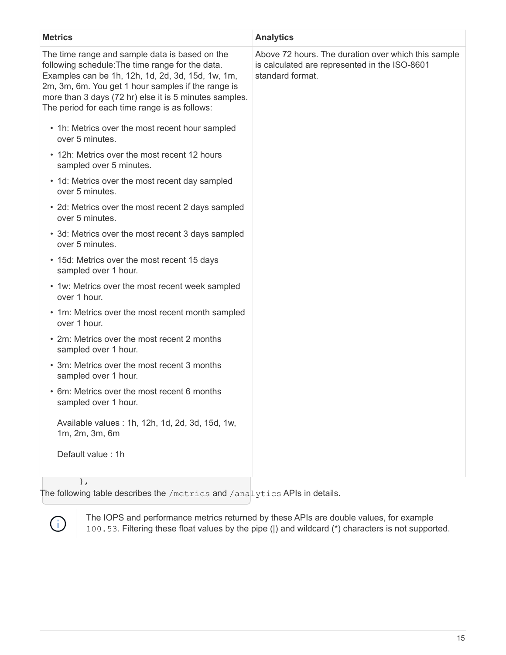| <b>Metrics</b>                                                                                                                                                                                                                                                                                                           | <b>Analytics</b>                                                                                                         |
|--------------------------------------------------------------------------------------------------------------------------------------------------------------------------------------------------------------------------------------------------------------------------------------------------------------------------|--------------------------------------------------------------------------------------------------------------------------|
| The time range and sample data is based on the<br>following schedule: The time range for the data.<br>Examples can be 1h, 12h, 1d, 2d, 3d, 15d, 1w, 1m,<br>2m, 3m, 6m. You get 1 hour samples if the range is<br>more than 3 days (72 hr) else it is 5 minutes samples.<br>The period for each time range is as follows: | Above 72 hours. The duration over which this sample<br>is calculated are represented in the ISO-8601<br>standard format. |
| • 1h: Metrics over the most recent hour sampled<br>over 5 minutes.                                                                                                                                                                                                                                                       |                                                                                                                          |
| • 12h: Metrics over the most recent 12 hours<br>sampled over 5 minutes.                                                                                                                                                                                                                                                  |                                                                                                                          |
| • 1d: Metrics over the most recent day sampled<br>over 5 minutes.                                                                                                                                                                                                                                                        |                                                                                                                          |
| • 2d: Metrics over the most recent 2 days sampled<br>over 5 minutes.                                                                                                                                                                                                                                                     |                                                                                                                          |
| • 3d: Metrics over the most recent 3 days sampled<br>over 5 minutes.                                                                                                                                                                                                                                                     |                                                                                                                          |
| • 15d: Metrics over the most recent 15 days<br>sampled over 1 hour.                                                                                                                                                                                                                                                      |                                                                                                                          |
| • 1w: Metrics over the most recent week sampled<br>over 1 hour.                                                                                                                                                                                                                                                          |                                                                                                                          |
| • 1m: Metrics over the most recent month sampled<br>over 1 hour.                                                                                                                                                                                                                                                         |                                                                                                                          |
| • 2m: Metrics over the most recent 2 months<br>sampled over 1 hour.                                                                                                                                                                                                                                                      |                                                                                                                          |
| • 3m: Metrics over the most recent 3 months<br>sampled over 1 hour.                                                                                                                                                                                                                                                      |                                                                                                                          |
| • 6m: Metrics over the most recent 6 months<br>sampled over 1 hour.                                                                                                                                                                                                                                                      |                                                                                                                          |
| Available values : 1h, 12h, 1d, 2d, 3d, 15d, 1w,<br>1m, 2m, 3m, 6m                                                                                                                                                                                                                                                       |                                                                                                                          |
| Default value: 1h                                                                                                                                                                                                                                                                                                        |                                                                                                                          |
|                                                                                                                                                                                                                                                                                                                          |                                                                                                                          |

},

The following table describes the /metrics and /analytics APIs in details.



The IOPS and performance metrics returned by these APIs are double values, for example 100.53. Filtering these float values by the pipe (|) and wildcard (\*) characters is not supported.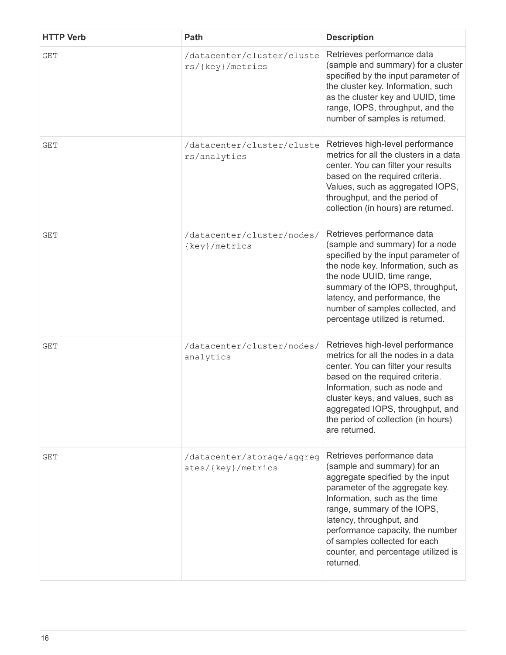| <b>HTTP Verb</b> | Path                                             | <b>Description</b>                                                                                                                                                                                                                                                                                                                                    |
|------------------|--------------------------------------------------|-------------------------------------------------------------------------------------------------------------------------------------------------------------------------------------------------------------------------------------------------------------------------------------------------------------------------------------------------------|
| <b>GET</b>       | /datacenter/cluster/cluste<br>rs/{key}/metrics   | Retrieves performance data<br>(sample and summary) for a cluster<br>specified by the input parameter of<br>the cluster key. Information, such<br>as the cluster key and UUID, time<br>range, IOPS, throughput, and the<br>number of samples is returned.                                                                                              |
| <b>GET</b>       | /datacenter/cluster/cluste<br>rs/analytics       | Retrieves high-level performance<br>metrics for all the clusters in a data<br>center. You can filter your results<br>based on the required criteria.<br>Values, such as aggregated IOPS,<br>throughput, and the period of<br>collection (in hours) are returned.                                                                                      |
| <b>GET</b>       | /datacenter/cluster/nodes/<br>{key}/metrics      | Retrieves performance data<br>(sample and summary) for a node<br>specified by the input parameter of<br>the node key. Information, such as<br>the node UUID, time range,<br>summary of the IOPS, throughput,<br>latency, and performance, the<br>number of samples collected, and<br>percentage utilized is returned.                                 |
| <b>GET</b>       | /datacenter/cluster/nodes/<br>analytics          | Retrieves high-level performance<br>metrics for all the nodes in a data<br>center. You can filter your results<br>based on the required criteria.<br>Information, such as node and<br>cluster keys, and values, such as<br>aggregated IOPS, throughput, and<br>the period of collection (in hours)<br>are returned.                                   |
| <b>GET</b>       | /datacenter/storage/aggreg<br>ates/{key}/metrics | Retrieves performance data<br>(sample and summary) for an<br>aggregate specified by the input<br>parameter of the aggregate key.<br>Information, such as the time<br>range, summary of the IOPS,<br>latency, throughput, and<br>performance capacity, the number<br>of samples collected for each<br>counter, and percentage utilized is<br>returned. |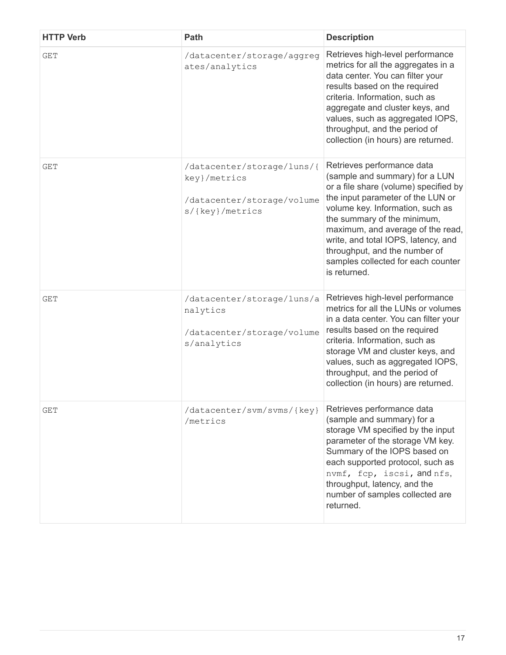| <b>HTTP Verb</b> | Path                                                                                        | <b>Description</b>                                                                                                                                                                                                                                                                                                                                                               |
|------------------|---------------------------------------------------------------------------------------------|----------------------------------------------------------------------------------------------------------------------------------------------------------------------------------------------------------------------------------------------------------------------------------------------------------------------------------------------------------------------------------|
| <b>GET</b>       | /datacenter/storage/aggreg<br>ates/analytics                                                | Retrieves high-level performance<br>metrics for all the aggregates in a<br>data center. You can filter your<br>results based on the required<br>criteria. Information, such as<br>aggregate and cluster keys, and<br>values, such as aggregated IOPS,<br>throughput, and the period of<br>collection (in hours) are returned.                                                    |
| <b>GET</b>       | /datacenter/storage/luns/{<br>key}/metrics<br>/datacenter/storage/volume<br>s/{key}/metrics | Retrieves performance data<br>(sample and summary) for a LUN<br>or a file share (volume) specified by<br>the input parameter of the LUN or<br>volume key. Information, such as<br>the summary of the minimum,<br>maximum, and average of the read,<br>write, and total IOPS, latency, and<br>throughput, and the number of<br>samples collected for each counter<br>is returned. |
| <b>GET</b>       | /datacenter/storage/luns/a<br>nalytics<br>/datacenter/storage/volume<br>s/analytics         | Retrieves high-level performance<br>metrics for all the LUNs or volumes<br>in a data center. You can filter your<br>results based on the required<br>criteria. Information, such as<br>storage VM and cluster keys, and<br>values, such as aggregated IOPS,<br>throughput, and the period of<br>collection (in hours) are returned.                                              |
| GET              | /datacenter/svm/svms/{key}<br>/metrics                                                      | Retrieves performance data<br>(sample and summary) for a<br>storage VM specified by the input<br>parameter of the storage VM key.<br>Summary of the IOPS based on<br>each supported protocol, such as<br>nvmf, fcp, iscsi, and nfs,<br>throughput, latency, and the<br>number of samples collected are<br>returned.                                                              |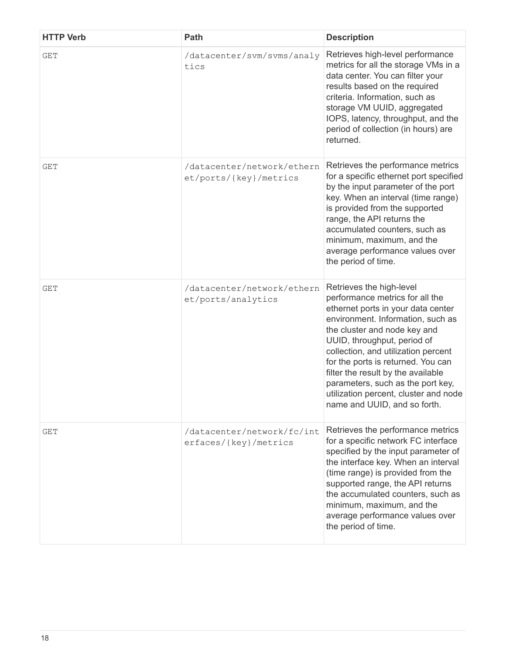| <b>HTTP Verb</b> | Path                                                 | <b>Description</b>                                                                                                                                                                                                                                                                                                                                                                                                                     |
|------------------|------------------------------------------------------|----------------------------------------------------------------------------------------------------------------------------------------------------------------------------------------------------------------------------------------------------------------------------------------------------------------------------------------------------------------------------------------------------------------------------------------|
| <b>GET</b>       | /datacenter/svm/svms/analy<br>tics                   | Retrieves high-level performance<br>metrics for all the storage VMs in a<br>data center. You can filter your<br>results based on the required<br>criteria. Information, such as<br>storage VM UUID, aggregated<br>IOPS, latency, throughput, and the<br>period of collection (in hours) are<br>returned.                                                                                                                               |
| <b>GET</b>       | /datacenter/network/ethern<br>et/ports/{key}/metrics | Retrieves the performance metrics<br>for a specific ethernet port specified<br>by the input parameter of the port<br>key. When an interval (time range)<br>is provided from the supported<br>range, the API returns the<br>accumulated counters, such as<br>minimum, maximum, and the<br>average performance values over<br>the period of time.                                                                                        |
| GET              | /datacenter/network/ethern<br>et/ports/analytics     | Retrieves the high-level<br>performance metrics for all the<br>ethernet ports in your data center<br>environment. Information, such as<br>the cluster and node key and<br>UUID, throughput, period of<br>collection, and utilization percent<br>for the ports is returned. You can<br>filter the result by the available<br>parameters, such as the port key,<br>utilization percent, cluster and node<br>name and UUID, and so forth. |
| GET              | /datacenter/network/fc/int<br>erfaces/{key}/metrics  | Retrieves the performance metrics<br>for a specific network FC interface<br>specified by the input parameter of<br>the interface key. When an interval<br>(time range) is provided from the<br>supported range, the API returns<br>the accumulated counters, such as<br>minimum, maximum, and the<br>average performance values over<br>the period of time.                                                                            |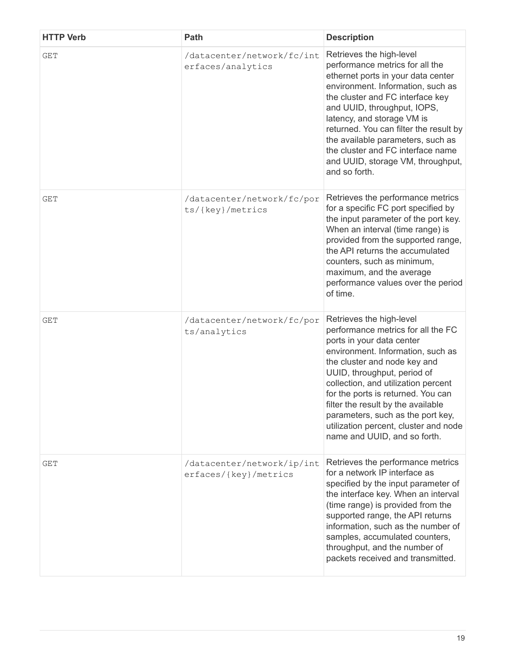| <b>HTTP Verb</b> | Path                                                | <b>Description</b>                                                                                                                                                                                                                                                                                                                                                                                                               |
|------------------|-----------------------------------------------------|----------------------------------------------------------------------------------------------------------------------------------------------------------------------------------------------------------------------------------------------------------------------------------------------------------------------------------------------------------------------------------------------------------------------------------|
| <b>GET</b>       | /datacenter/network/fc/int<br>erfaces/analytics     | Retrieves the high-level<br>performance metrics for all the<br>ethernet ports in your data center<br>environment. Information, such as<br>the cluster and FC interface key<br>and UUID, throughput, IOPS,<br>latency, and storage VM is<br>returned. You can filter the result by<br>the available parameters, such as<br>the cluster and FC interface name<br>and UUID, storage VM, throughput,<br>and so forth.                |
| GET              | /datacenter/network/fc/por<br>ts/{key}/metrics      | Retrieves the performance metrics<br>for a specific FC port specified by<br>the input parameter of the port key.<br>When an interval (time range) is<br>provided from the supported range,<br>the API returns the accumulated<br>counters, such as minimum,<br>maximum, and the average<br>performance values over the period<br>of time.                                                                                        |
| <b>GET</b>       | /datacenter/network/fc/por<br>ts/analytics          | Retrieves the high-level<br>performance metrics for all the FC<br>ports in your data center<br>environment. Information, such as<br>the cluster and node key and<br>UUID, throughput, period of<br>collection, and utilization percent<br>for the ports is returned. You can<br>filter the result by the available<br>parameters, such as the port key,<br>utilization percent, cluster and node<br>name and UUID, and so forth. |
| <b>GET</b>       | /datacenter/network/ip/int<br>erfaces/{key}/metrics | Retrieves the performance metrics<br>for a network IP interface as<br>specified by the input parameter of<br>the interface key. When an interval<br>(time range) is provided from the<br>supported range, the API returns<br>information, such as the number of<br>samples, accumulated counters,<br>throughput, and the number of<br>packets received and transmitted.                                                          |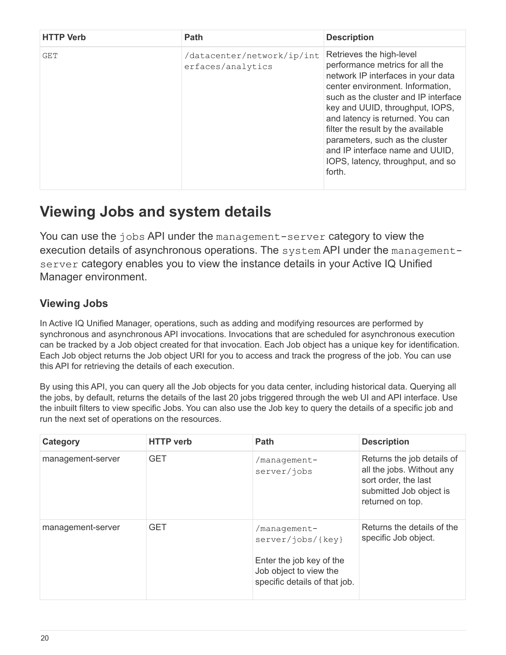| <b>HTTP Verb</b> | Path                                            | <b>Description</b>                                                                                                                                                                                                                                                                                                                                                                                              |
|------------------|-------------------------------------------------|-----------------------------------------------------------------------------------------------------------------------------------------------------------------------------------------------------------------------------------------------------------------------------------------------------------------------------------------------------------------------------------------------------------------|
| GET              | /datacenter/network/ip/int<br>erfaces/analytics | Retrieves the high-level<br>performance metrics for all the<br>network IP interfaces in your data<br>center environment. Information,<br>such as the cluster and IP interface<br>key and UUID, throughput, IOPS,<br>and latency is returned. You can<br>filter the result by the available<br>parameters, such as the cluster<br>and IP interface name and UUID,<br>IOPS, latency, throughput, and so<br>forth. |

## <span id="page-21-0"></span>**Viewing Jobs and system details**

You can use the jobs API under the management-server category to view the execution details of asynchronous operations. The system API under the managementserver category enables you to view the instance details in your Active IQ Unified Manager environment.

## **Viewing Jobs**

In Active IQ Unified Manager, operations, such as adding and modifying resources are performed by synchronous and asynchronous API invocations. Invocations that are scheduled for asynchronous execution can be tracked by a Job object created for that invocation. Each Job object has a unique key for identification. Each Job object returns the Job object URI for you to access and track the progress of the job. You can use this API for retrieving the details of each execution.

By using this API, you can query all the Job objects for you data center, including historical data. Querying all the jobs, by default, returns the details of the last 20 jobs triggered through the web UI and API interface. Use the inbuilt filters to view specific Jobs. You can also use the Job key to query the details of a specific job and run the next set of operations on the resources.

| Category          | <b>HTTP</b> verb | <b>Path</b>                                                                                                              | <b>Description</b>                                                                                                             |
|-------------------|------------------|--------------------------------------------------------------------------------------------------------------------------|--------------------------------------------------------------------------------------------------------------------------------|
| management-server | <b>GET</b>       | /management-<br>server/jobs                                                                                              | Returns the job details of<br>all the jobs. Without any<br>sort order, the last<br>submitted Job object is<br>returned on top. |
| management-server | <b>GET</b>       | /management-<br>server/jobs/{key}<br>Enter the job key of the<br>Job object to view the<br>specific details of that job. | Returns the details of the<br>specific Job object.                                                                             |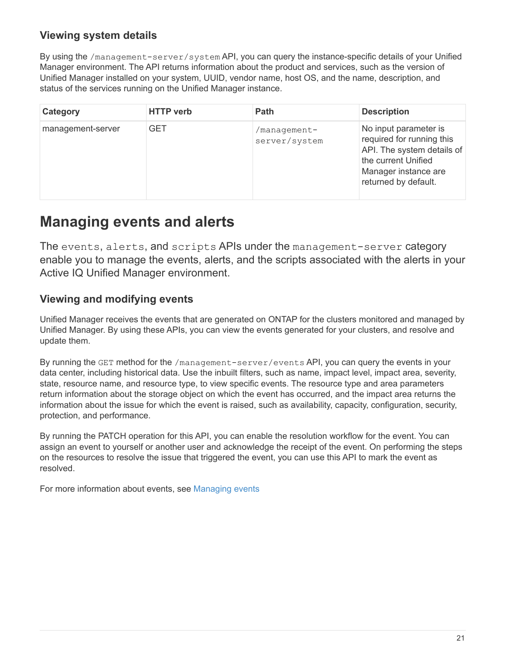## **Viewing system details**

By using the /management-server/system API, you can query the instance-specific details of your Unified Manager environment. The API returns information about the product and services, such as the version of Unified Manager installed on your system, UUID, vendor name, host OS, and the name, description, and status of the services running on the Unified Manager instance.

| Category          | <b>HTTP</b> verb | Path                          | <b>Description</b>                                                                                                                                      |
|-------------------|------------------|-------------------------------|---------------------------------------------------------------------------------------------------------------------------------------------------------|
| management-server | <b>GET</b>       | /manaqement-<br>server/system | No input parameter is<br>required for running this<br>API. The system details of<br>the current Unified<br>Manager instance are<br>returned by default. |

## <span id="page-22-0"></span>**Managing events and alerts**

The events, alerts, and scripts APIs under the management-server category enable you to manage the events, alerts, and the scripts associated with the alerts in your Active IQ Unified Manager environment.

## **Viewing and modifying events**

Unified Manager receives the events that are generated on ONTAP for the clusters monitored and managed by Unified Manager. By using these APIs, you can view the events generated for your clusters, and resolve and update them.

By running the GET method for the /management-server/events API, you can query the events in your data center, including historical data. Use the inbuilt filters, such as name, impact level, impact area, severity, state, resource name, and resource type, to view specific events. The resource type and area parameters return information about the storage object on which the event has occurred, and the impact area returns the information about the issue for which the event is raised, such as availability, capacity, configuration, security, protection, and performance.

By running the PATCH operation for this API, you can enable the resolution workflow for the event. You can assign an event to yourself or another user and acknowledge the receipt of the event. On performing the steps on the resources to resolve the issue that triggered the event, you can use this API to mark the event as resolved.

For more information about events, see [Managing events](https://docs.netapp.com/us-en/active-iq-unified-manager-910/events/concept_manage_events.html)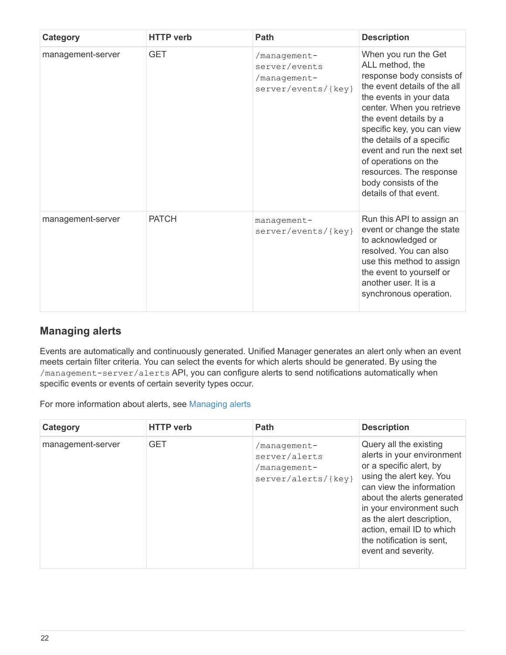| Category          | <b>HTTP</b> verb | Path                                                                 | <b>Description</b>                                                                                                                                                                                                                                                                                                                                                                   |
|-------------------|------------------|----------------------------------------------------------------------|--------------------------------------------------------------------------------------------------------------------------------------------------------------------------------------------------------------------------------------------------------------------------------------------------------------------------------------------------------------------------------------|
| management-server | <b>GET</b>       | /management-<br>server/events<br>/management-<br>server/events/{key} | When you run the Get<br>ALL method, the<br>response body consists of<br>the event details of the all<br>the events in your data<br>center. When you retrieve<br>the event details by a<br>specific key, you can view<br>the details of a specific<br>event and run the next set<br>of operations on the<br>resources. The response<br>body consists of the<br>details of that event. |
| management-server | <b>PATCH</b>     | management-<br>server/events/{key}                                   | Run this API to assign an<br>event or change the state<br>to acknowledged or<br>resolved. You can also<br>use this method to assign<br>the event to yourself or<br>another user. It is a<br>synchronous operation.                                                                                                                                                                   |

## **Managing alerts**

Events are automatically and continuously generated. Unified Manager generates an alert only when an event meets certain filter criteria. You can select the events for which alerts should be generated. By using the /management-server/alerts API, you can configure alerts to send notifications automatically when specific events or events of certain severity types occur.

For more information about alerts, see [Managing alerts](https://docs.netapp.com/us-en/active-iq-unified-manager-910/events/concept_manage_alerts.html)

| Category          | <b>HTTP</b> verb | <b>Path</b>                                                          | <b>Description</b>                                                                                                                                                                                                                                                                                              |
|-------------------|------------------|----------------------------------------------------------------------|-----------------------------------------------------------------------------------------------------------------------------------------------------------------------------------------------------------------------------------------------------------------------------------------------------------------|
| management-server | <b>GET</b>       | /management-<br>server/alerts<br>/management-<br>server/alerts/{key} | Query all the existing<br>alerts in your environment<br>or a specific alert, by<br>using the alert key. You<br>can view the information<br>about the alerts generated<br>in your environment such<br>as the alert description,<br>action, email ID to which<br>the notification is sent,<br>event and severity. |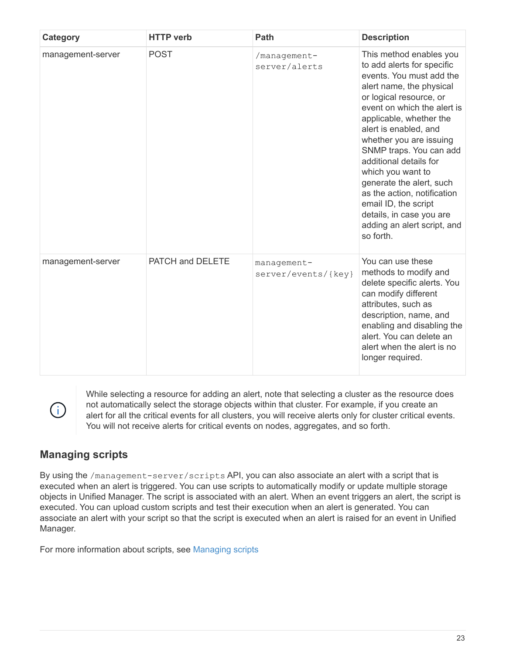| Category          | <b>HTTP</b> verb | Path                               | <b>Description</b>                                                                                                                                                                                                                                                                                                                                                                                                                                                                          |
|-------------------|------------------|------------------------------------|---------------------------------------------------------------------------------------------------------------------------------------------------------------------------------------------------------------------------------------------------------------------------------------------------------------------------------------------------------------------------------------------------------------------------------------------------------------------------------------------|
| management-server | <b>POST</b>      | /management-<br>server/alerts      | This method enables you<br>to add alerts for specific<br>events. You must add the<br>alert name, the physical<br>or logical resource, or<br>event on which the alert is<br>applicable, whether the<br>alert is enabled, and<br>whether you are issuing<br>SNMP traps. You can add<br>additional details for<br>which you want to<br>generate the alert, such<br>as the action, notification<br>email ID, the script<br>details, in case you are<br>adding an alert script, and<br>so forth. |
| management-server | PATCH and DELETE | management-<br>server/events/{key} | You can use these<br>methods to modify and<br>delete specific alerts. You<br>can modify different<br>attributes, such as<br>description, name, and<br>enabling and disabling the<br>alert. You can delete an<br>alert when the alert is no<br>longer required.                                                                                                                                                                                                                              |

While selecting a resource for adding an alert, note that selecting a cluster as the resource does not automatically select the storage objects within that cluster. For example, if you create an alert for all the critical events for all clusters, you will receive alerts only for cluster critical events. You will not receive alerts for critical events on nodes, aggregates, and so forth.

## **Managing scripts**

 $\binom{1}{1}$ 

By using the /management-server/scripts API, you can also associate an alert with a script that is executed when an alert is triggered. You can use scripts to automatically modify or update multiple storage objects in Unified Manager. The script is associated with an alert. When an event triggers an alert, the script is executed. You can upload custom scripts and test their execution when an alert is generated. You can associate an alert with your script so that the script is executed when an alert is raised for an event in Unified Manager.

For more information about scripts, see [Managing scripts](https://docs.netapp.com/us-en/active-iq-unified-manager-910/events/concept_manage_scripts.html)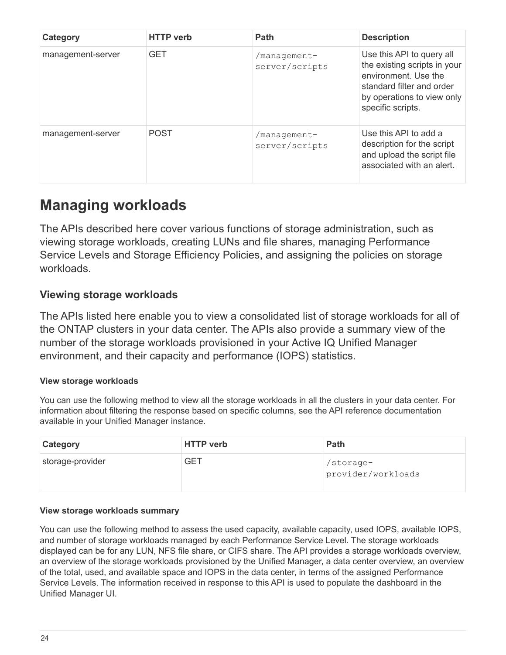| Category          | <b>HTTP</b> verb | <b>Path</b>                    | <b>Description</b>                                                                                                                                                |
|-------------------|------------------|--------------------------------|-------------------------------------------------------------------------------------------------------------------------------------------------------------------|
| management-server | <b>GET</b>       | /management-<br>server/scripts | Use this API to query all<br>the existing scripts in your<br>environment. Use the<br>standard filter and order<br>by operations to view only<br>specific scripts. |
| management-server | <b>POST</b>      | /management-<br>server/scripts | Use this API to add a<br>description for the script<br>and upload the script file<br>associated with an alert.                                                    |

## <span id="page-25-0"></span>**Managing workloads**

The APIs described here cover various functions of storage administration, such as viewing storage workloads, creating LUNs and file shares, managing Performance Service Levels and Storage Efficiency Policies, and assigning the policies on storage workloads.

## **Viewing storage workloads**

The APIs listed here enable you to view a consolidated list of storage workloads for all of the ONTAP clusters in your data center. The APIs also provide a summary view of the number of the storage workloads provisioned in your Active IQ Unified Manager environment, and their capacity and performance (IOPS) statistics.

## **View storage workloads**

You can use the following method to view all the storage workloads in all the clusters in your data center. For information about filtering the response based on specific columns, see the API reference documentation available in your Unified Manager instance.

| <b>Category</b>  | <b>HTTP</b> verb | <b>Path</b>                     |
|------------------|------------------|---------------------------------|
| storage-provider | <b>GET</b>       | /storage-<br>provider/workloads |

## **View storage workloads summary**

You can use the following method to assess the used capacity, available capacity, used IOPS, available IOPS, and number of storage workloads managed by each Performance Service Level. The storage workloads displayed can be for any LUN, NFS file share, or CIFS share. The API provides a storage workloads overview, an overview of the storage workloads provisioned by the Unified Manager, a data center overview, an overview of the total, used, and available space and IOPS in the data center, in terms of the assigned Performance Service Levels. The information received in response to this API is used to populate the dashboard in the Unified Manager UI.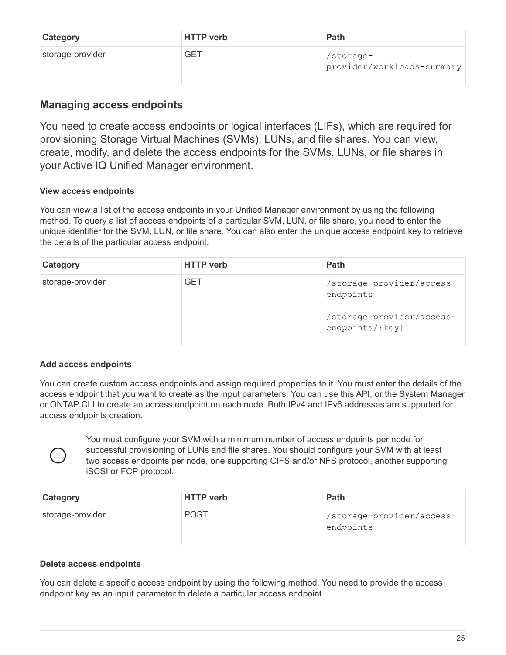| <b>Category</b>  | <b>HTTP</b> verb | Path                                    |
|------------------|------------------|-----------------------------------------|
| storage-provider | <b>GET</b>       | /storage-<br>provider/workloads-summary |

## **Managing access endpoints**

You need to create access endpoints or logical interfaces (LIFs), which are required for provisioning Storage Virtual Machines (SVMs), LUNs, and file shares. You can view, create, modify, and delete the access endpoints for the SVMs, LUNs, or file shares in your Active IQ Unified Manager environment.

## **View access endpoints**

You can view a list of the access endpoints in your Unified Manager environment by using the following method. To query a list of access endpoints of a particular SVM, LUN, or file share, you need to enter the unique identifier for the SVM, LUN, or file share. You can also enter the unique access endpoint key to retrieve the details of the particular access endpoint.

| Category         | <b>HTTP</b> verb | Path                                                                                   |
|------------------|------------------|----------------------------------------------------------------------------------------|
| storage-provider | <b>GET</b>       | /storage-provider/access-<br>endpoints<br>/storage-provider/access-<br>endpoints/{key} |

## **Add access endpoints**

You can create custom access endpoints and assign required properties to it. You must enter the details of the access endpoint that you want to create as the input parameters. You can use this API, or the System Manager or ONTAP CLI to create an access endpoint on each node. Both IPv4 and IPv6 addresses are supported for access endpoints creation.



You must configure your SVM with a minimum number of access endpoints per node for successful provisioning of LUNs and file shares. You should configure your SVM with at least two access endpoints per node, one supporting CIFS and/or NFS protocol, another supporting iSCSI or FCP protocol.

| <b>Category</b>  | <b>HTTP</b> verb | Path                                   |
|------------------|------------------|----------------------------------------|
| storage-provider | <b>POST</b>      | /storage-provider/access-<br>endpoints |

## **Delete access endpoints**

You can delete a specific access endpoint by using the following method. You need to provide the access endpoint key as an input parameter to delete a particular access endpoint.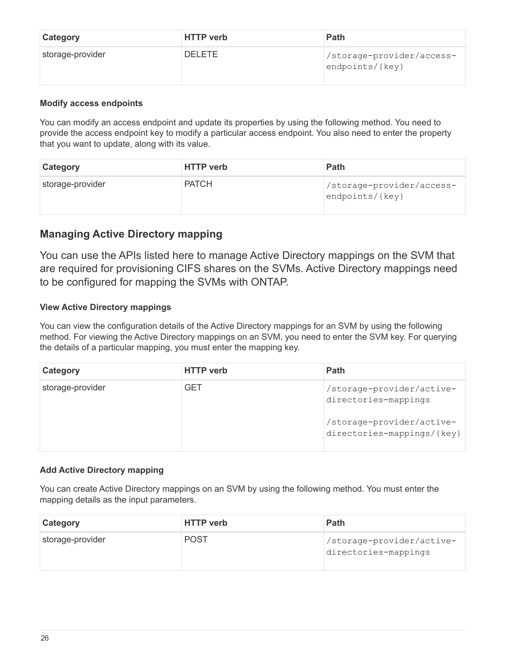| <b>Category</b>  | <b>HTTP</b> verb | Path                                             |
|------------------|------------------|--------------------------------------------------|
| storage-provider | <b>DELETE</b>    | /storage-provider/access-<br>$endpoints /$ {key} |

#### **Modify access endpoints**

You can modify an access endpoint and update its properties by using the following method. You need to provide the access endpoint key to modify a particular access endpoint. You also need to enter the property that you want to update, along with its value.

| <b>Category</b>  | <b>HTTP</b> verb | <b>Path</b>                                      |
|------------------|------------------|--------------------------------------------------|
| storage-provider | <b>PATCH</b>     | /storage-provider/access-<br>$endpoints /$ {key} |

## **Managing Active Directory mapping**

You can use the APIs listed here to manage Active Directory mappings on the SVM that are required for provisioning CIFS shares on the SVMs. Active Directory mappings need to be configured for mapping the SVMs with ONTAP.

### **View Active Directory mappings**

You can view the configuration details of the Active Directory mappings for an SVM by using the following method. For viewing the Active Directory mappings on an SVM, you need to enter the SVM key. For querying the details of a particular mapping, you must enter the mapping key.

| Category         | <b>HTTP</b> verb | <b>Path</b>                                                                                                  |
|------------------|------------------|--------------------------------------------------------------------------------------------------------------|
| storage-provider | GET              | /storage-provider/active-<br>directories-mappings<br>/storage-provider/active-<br>directories-mappings/{key} |

#### **Add Active Directory mapping**

You can create Active Directory mappings on an SVM by using the following method. You must enter the mapping details as the input parameters.

| <b>Category</b>  | <b>HTTP</b> verb | <b>Path</b>                                       |
|------------------|------------------|---------------------------------------------------|
| storage-provider | <b>POST</b>      | /storage-provider/active-<br>directories-mappings |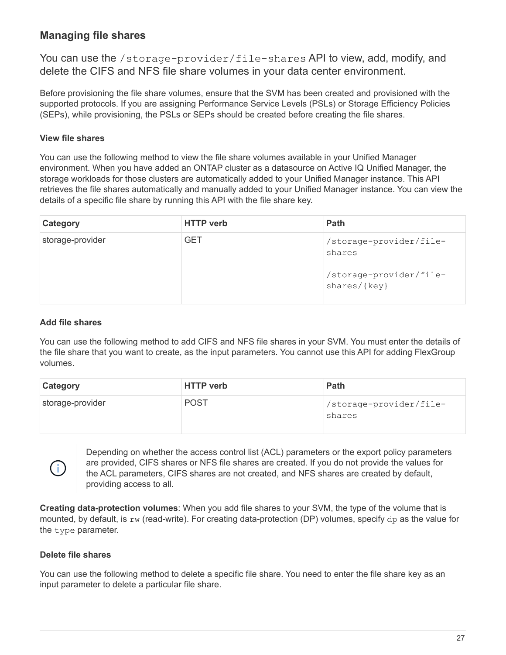## **Managing file shares**

You can use the /storage-provider/file-shares API to view, add, modify, and delete the CIFS and NFS file share volumes in your data center environment.

Before provisioning the file share volumes, ensure that the SVM has been created and provisioned with the supported protocols. If you are assigning Performance Service Levels (PSLs) or Storage Efficiency Policies (SEPs), while provisioning, the PSLs or SEPs should be created before creating the file shares.

### **View file shares**

You can use the following method to view the file share volumes available in your Unified Manager environment. When you have added an ONTAP cluster as a datasource on Active IQ Unified Manager, the storage workloads for those clusters are automatically added to your Unified Manager instance. This API retrieves the file shares automatically and manually added to your Unified Manager instance. You can view the details of a specific file share by running this API with the file share key.

| Category         | <b>HTTP</b> verb | Path                                                                         |
|------------------|------------------|------------------------------------------------------------------------------|
| storage-provider | <b>GET</b>       | /storage-provider/file-<br>shares<br>/storage-provider/file-<br>shares/{key} |

#### **Add file shares**

You can use the following method to add CIFS and NFS file shares in your SVM. You must enter the details of the file share that you want to create, as the input parameters. You cannot use this API for adding FlexGroup volumes.

| <b>Category</b>  | <b>HTTP</b> verb | Path                              |
|------------------|------------------|-----------------------------------|
| storage-provider | <b>POST</b>      | /storage-provider/file-<br>shares |

Depending on whether the access control list (ACL) parameters or the export policy parameters are provided, CIFS shares or NFS file shares are created. If you do not provide the values for the ACL parameters, CIFS shares are not created, and NFS shares are created by default, providing access to all.

**Creating data-protection volumes**: When you add file shares to your SVM, the type of the volume that is mounted, by default, is  $rw$  (read-write). For creating data-protection (DP) volumes, specify dp as the value for the type parameter.

#### **Delete file shares**

 $(i)$ 

You can use the following method to delete a specific file share. You need to enter the file share key as an input parameter to delete a particular file share.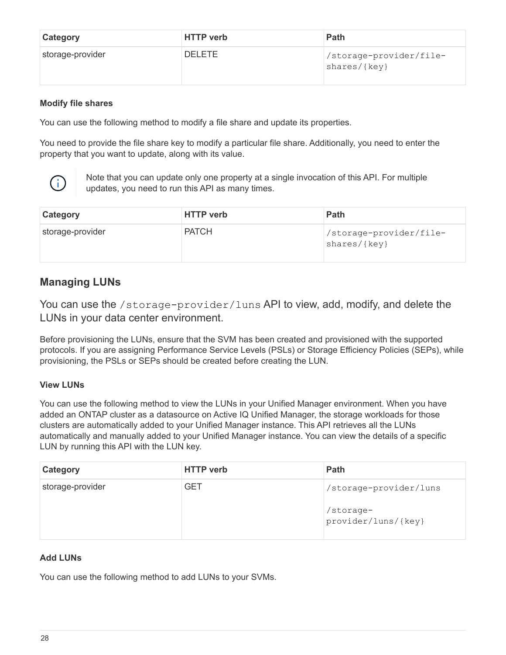| <b>Category</b>  | <b>HTTP</b> verb | <b>Path</b>                             |
|------------------|------------------|-----------------------------------------|
| storage-provider | <b>DELETE</b>    | /storage-provider/file-<br>shares/{key} |

#### **Modify file shares**

You can use the following method to modify a file share and update its properties.

You need to provide the file share key to modify a particular file share. Additionally, you need to enter the property that you want to update, along with its value.



Note that you can update only one property at a single invocation of this API. For multiple updates, you need to run this API as many times.

| <b>Category</b>  | <b>HTTP verb</b> | <b>Path</b>                             |
|------------------|------------------|-----------------------------------------|
| storage-provider | <b>PATCH</b>     | /storage-provider/file-<br>shares/{key} |

## **Managing LUNs**

You can use the /storage-provider/luns API to view, add, modify, and delete the LUNs in your data center environment.

Before provisioning the LUNs, ensure that the SVM has been created and provisioned with the supported protocols. If you are assigning Performance Service Levels (PSLs) or Storage Efficiency Policies (SEPs), while provisioning, the PSLs or SEPs should be created before creating the LUN.

#### **View LUNs**

You can use the following method to view the LUNs in your Unified Manager environment. When you have added an ONTAP cluster as a datasource on Active IQ Unified Manager, the storage workloads for those clusters are automatically added to your Unified Manager instance. This API retrieves all the LUNs automatically and manually added to your Unified Manager instance. You can view the details of a specific LUN by running this API with the LUN key.

| Category         | <b>HTTP</b> verb | Path                             |
|------------------|------------------|----------------------------------|
| storage-provider | <b>GET</b>       | /storage-provider/luns           |
|                  |                  | /storage-<br>provider/luns/{key} |

#### **Add LUNs**

You can use the following method to add LUNs to your SVMs.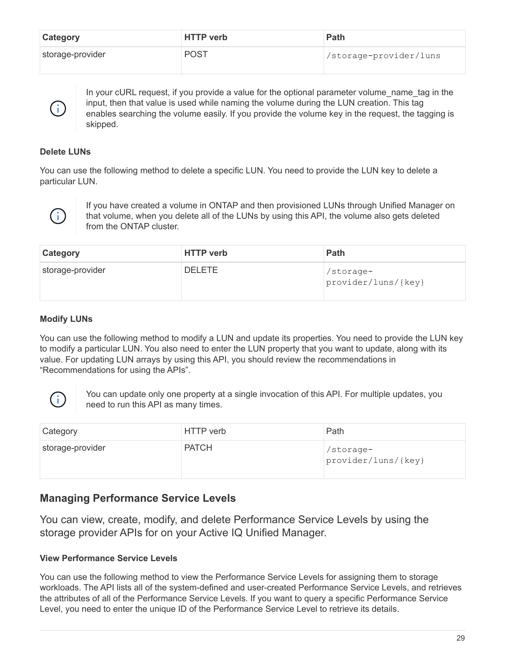| <b>Category</b>  | <b>HTTP</b> verb | <b>Path</b>             |
|------------------|------------------|-------------------------|
| storage-provider | <b>POST</b>      | //storage-provider/luns |

In your cURL request, if you provide a value for the optional parameter volume name tag in the input, then that value is used while naming the volume during the LUN creation. This tag enables searching the volume easily. If you provide the volume key in the request, the tagging is skipped.

### **Delete LUNs**

Ħ.

You can use the following method to delete a specific LUN. You need to provide the LUN key to delete a particular LUN.



If you have created a volume in ONTAP and then provisioned LUNs through Unified Manager on that volume, when you delete all of the LUNs by using this API, the volume also gets deleted from the ONTAP cluster.

| <b>Category</b>  | <b>HTTP</b> verb | Path                             |
|------------------|------------------|----------------------------------|
| storage-provider | <b>DELETE</b>    | /storage-<br>provider/luns/{key} |

## **Modify LUNs**

You can use the following method to modify a LUN and update its properties. You need to provide the LUN key to modify a particular LUN. You also need to enter the LUN property that you want to update, along with its value. For updating LUN arrays by using this API, you should review the recommendations in "Recommendations for using the APIs".



You can update only one property at a single invocation of this API. For multiple updates, you need to run this API as many times.

| Category         | HTTP verb    | Path                             |
|------------------|--------------|----------------------------------|
| storage-provider | <b>PATCH</b> | /storage-<br>provider/luns/{key} |

## **Managing Performance Service Levels**

You can view, create, modify, and delete Performance Service Levels by using the storage provider APIs for on your Active IQ Unified Manager.

## **View Performance Service Levels**

You can use the following method to view the Performance Service Levels for assigning them to storage workloads. The API lists all of the system-defined and user-created Performance Service Levels, and retrieves the attributes of all of the Performance Service Levels. If you want to query a specific Performance Service Level, you need to enter the unique ID of the Performance Service Level to retrieve its details.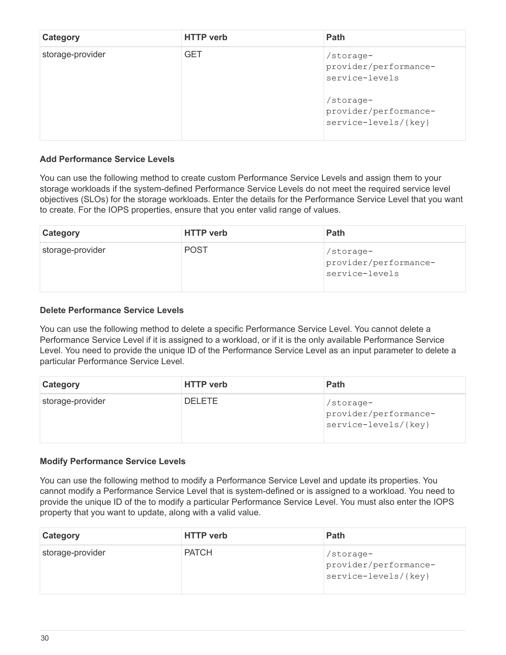| Category         | <b>HTTP</b> verb | <b>Path</b>                                                                                                        |
|------------------|------------------|--------------------------------------------------------------------------------------------------------------------|
| storage-provider | <b>GET</b>       | /storage-<br>provider/performance-<br>service-levels<br>/storage-<br>provider/performance-<br>service-levels/{key} |

#### **Add Performance Service Levels**

You can use the following method to create custom Performance Service Levels and assign them to your storage workloads if the system-defined Performance Service Levels do not meet the required service level objectives (SLOs) for the storage workloads. Enter the details for the Performance Service Level that you want to create. For the IOPS properties, ensure that you enter valid range of values.

| <b>Category</b>  | <b>HTTP</b> verb | Path                                                 |
|------------------|------------------|------------------------------------------------------|
| storage-provider | <b>POST</b>      | /storage-<br>provider/performance-<br>service-levels |

#### **Delete Performance Service Levels**

You can use the following method to delete a specific Performance Service Level. You cannot delete a Performance Service Level if it is assigned to a workload, or if it is the only available Performance Service Level. You need to provide the unique ID of the Performance Service Level as an input parameter to delete a particular Performance Service Level.

| Category         | <b>HTTP verb</b> | <b>Path</b>                                                |
|------------------|------------------|------------------------------------------------------------|
| storage-provider | <b>DELETE</b>    | /storage-<br>provider/performance-<br>service-levels/{key} |

#### **Modify Performance Service Levels**

You can use the following method to modify a Performance Service Level and update its properties. You cannot modify a Performance Service Level that is system-defined or is assigned to a workload. You need to provide the unique ID of the to modify a particular Performance Service Level. You must also enter the IOPS property that you want to update, along with a valid value.

| <b>Category</b>  | <b>HTTP</b> verb | <b>Path</b>                                                 |
|------------------|------------------|-------------------------------------------------------------|
| storage-provider | <b>PATCH</b>     | /storage-<br>provider/performance-<br> service-levels/{key} |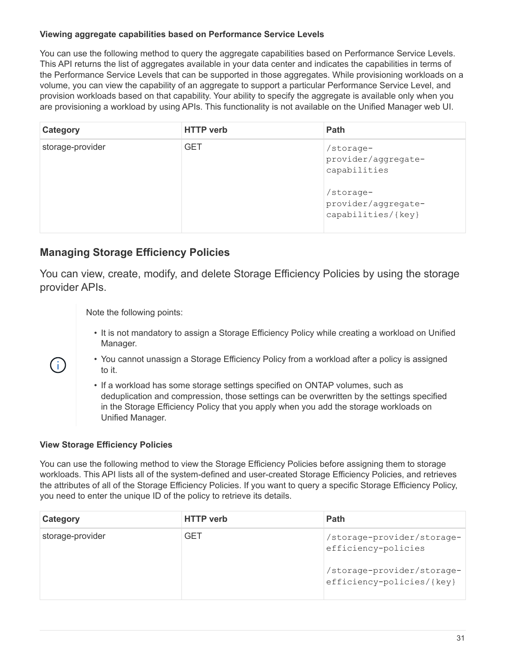### **Viewing aggregate capabilities based on Performance Service Levels**

You can use the following method to query the aggregate capabilities based on Performance Service Levels. This API returns the list of aggregates available in your data center and indicates the capabilities in terms of the Performance Service Levels that can be supported in those aggregates. While provisioning workloads on a volume, you can view the capability of an aggregate to support a particular Performance Service Level, and provision workloads based on that capability. Your ability to specify the aggregate is available only when you are provisioning a workload by using APIs. This functionality is not available on the Unified Manager web UI.

| Category         | <b>HTTP</b> verb | <b>Path</b>                                                                                                |
|------------------|------------------|------------------------------------------------------------------------------------------------------------|
| storage-provider | <b>GET</b>       | /storage-<br>provider/aggregate-<br>capabilities<br>/storage-<br>provider/aggregate-<br>capabilities/{key} |

## **Managing Storage Efficiency Policies**

You can view, create, modify, and delete Storage Efficiency Policies by using the storage provider APIs.

Note the following points:

- It is not mandatory to assign a Storage Efficiency Policy while creating a workload on Unified Manager.
- You cannot unassign a Storage Efficiency Policy from a workload after a policy is assigned to it.
- If a workload has some storage settings specified on ONTAP volumes, such as deduplication and compression, those settings can be overwritten by the settings specified in the Storage Efficiency Policy that you apply when you add the storage workloads on Unified Manager.

#### **View Storage Efficiency Policies**

 $\mathbf{f}$ 

You can use the following method to view the Storage Efficiency Policies before assigning them to storage workloads. This API lists all of the system-defined and user-created Storage Efficiency Policies, and retrieves the attributes of all of the Storage Efficiency Policies. If you want to query a specific Storage Efficiency Policy, you need to enter the unique ID of the policy to retrieve its details.

| Category         | <b>HTTP</b> verb | <b>Path</b>                                             |
|------------------|------------------|---------------------------------------------------------|
| storage-provider | GET              | /storage-provider/storage-<br>efficiency-policies       |
|                  |                  | /storage-provider/storage-<br>efficiency-policies/{key} |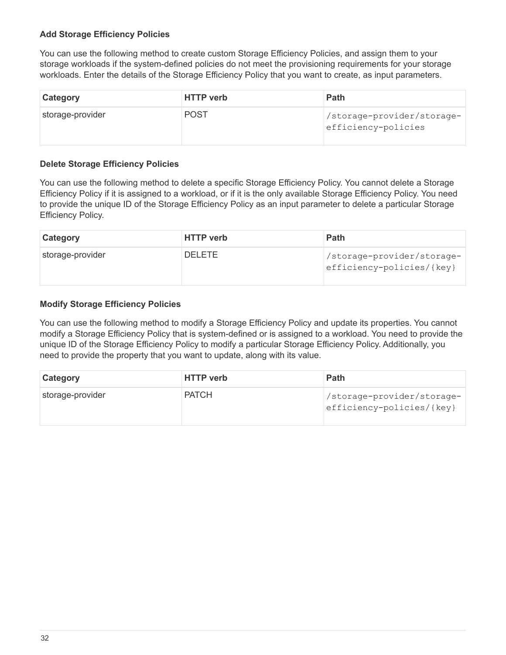#### **Add Storage Efficiency Policies**

You can use the following method to create custom Storage Efficiency Policies, and assign them to your storage workloads if the system-defined policies do not meet the provisioning requirements for your storage workloads. Enter the details of the Storage Efficiency Policy that you want to create, as input parameters.

| <b>Category</b>  | <b>HTTP</b> verb | <b>Path</b>                                       |
|------------------|------------------|---------------------------------------------------|
| storage-provider | <b>POST</b>      | /storage-provider/storage-<br>efficiency-policies |

#### **Delete Storage Efficiency Policies**

You can use the following method to delete a specific Storage Efficiency Policy. You cannot delete a Storage Efficiency Policy if it is assigned to a workload, or if it is the only available Storage Efficiency Policy. You need to provide the unique ID of the Storage Efficiency Policy as an input parameter to delete a particular Storage Efficiency Policy.

| <b>Category</b>  | <b>HTTP</b> verb | <b>Path</b>                                             |
|------------------|------------------|---------------------------------------------------------|
| storage-provider | <b>DELETE</b>    | /storage-provider/storage-<br>efficiency-policies/{key} |

#### **Modify Storage Efficiency Policies**

You can use the following method to modify a Storage Efficiency Policy and update its properties. You cannot modify a Storage Efficiency Policy that is system-defined or is assigned to a workload. You need to provide the unique ID of the Storage Efficiency Policy to modify a particular Storage Efficiency Policy. Additionally, you need to provide the property that you want to update, along with its value.

| <b>Category</b>  | <b>HTTP</b> verb | <b>Path</b>                                             |
|------------------|------------------|---------------------------------------------------------|
| storage-provider | <b>PATCH</b>     | /storage-provider/storage-<br>efficiency-policies/{key} |